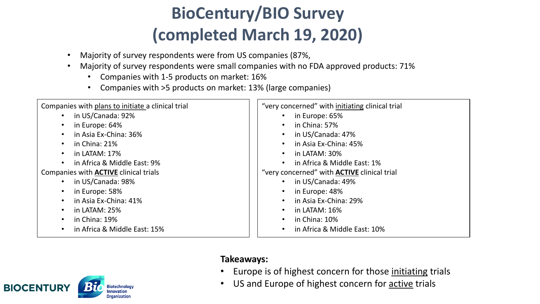- Majority of survey respondents were from US companies (87%,
- Majority of survey respondents were small companies with no FDA approved products: 71%
	- Companies with 1-5 products on market: 16%
	- Companies with >5 products on market: 13% (large companies)

| Companies with plans to initiate a clinical trial | "very concerned" with initiating clinical trial    |
|---------------------------------------------------|----------------------------------------------------|
| in US/Canada: 92%<br>$\bullet$                    | in Europe: 65%                                     |
| in Europe: 64%<br>$\bullet$                       | in China: 57%                                      |
| in Asia Ex-China: 36%<br>$\bullet$                | in US/Canada: 47%                                  |
| in China: 21%<br>$\bullet$                        | in Asia Ex-China: 45%                              |
| in LATAM: $17\%$<br>$\bullet$                     | in LATAM: 30%                                      |
| in Africa & Middle East: 9%<br>$\bullet$          | in Africa & Middle East: 1%                        |
| Companies with <b>ACTIVE</b> clinical trials      | "very concerned" with <b>ACTIVE</b> clinical trial |
| in US/Canada: 98%<br>$\bullet$                    | in US/Canada: 49%                                  |
| in Europe: 58%<br>$\bullet$                       | in Europe: 48%                                     |
| in Asia Ex-China: 41%<br>$\bullet$                | in Asia Ex-China: 29%                              |
| in LATAM: 25%<br>$\bullet$                        | in LATAM: 16%                                      |
| in China: 19%<br>$\bullet$                        | in China: 10%                                      |
| in Africa & Middle East: 15%<br>$\bullet$         | in Africa & Middle East: 10%                       |

#### **Takeaways:**

- Europe is of highest concern for those initiating trials
- US and Europe of highest concern for active trials

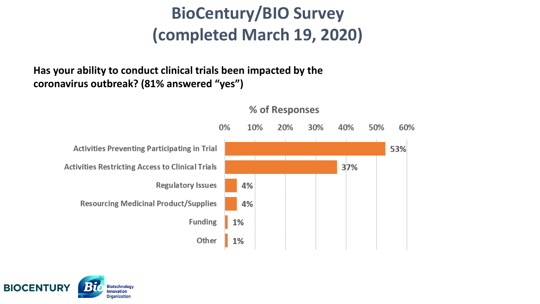**Has your ability to conduct clinical trials been impacted by the coronavirus outbreak? (81% answered "yes")**





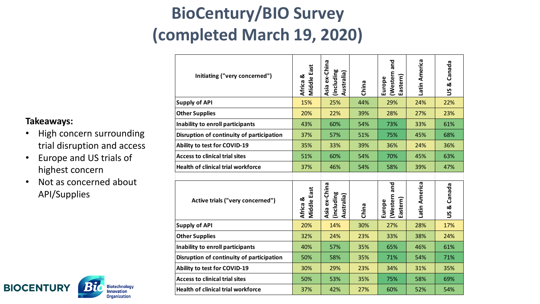| Initiating ("very concerned")             | Middle East<br>Africa & | Asia ex-China<br>(including<br>Australia) | China | and<br>(Western<br>Eastern)<br>Europe | Latin America | Canada<br>×<br><u>ყ</u>       |
|-------------------------------------------|-------------------------|-------------------------------------------|-------|---------------------------------------|---------------|-------------------------------|
| <b>Supply of API</b>                      | 15%                     | 25%                                       | 44%   | 29%                                   | 24%           | 22%                           |
| <b>Other Supplies</b>                     | 20%                     | 22%                                       | 39%   | 28%                                   | 27%           | 23%                           |
| Inability to enroll participants          | 43%                     | 60%                                       | 54%   | 73%                                   | 33%           | 61%                           |
| Disruption of continuity of participation | 37%                     | 57%                                       | 51%   | 75%                                   | 45%           | 68%                           |
| Ability to test for COVID-19              | 35%                     | 33%                                       | 39%   | 36%                                   | 24%           | 36%                           |
| <b>Access to clinical trial sites</b>     | 51%                     | 60%                                       | 54%   | 70%                                   | 45%           | 63%                           |
| <b>Health of clinical trial workforce</b> | 37%                     | 46%                                       | 54%   | 58%                                   | 39%           | 47%                           |
|                                           |                         |                                           |       |                                       |               |                               |
|                                           |                         |                                           |       | and                                   |               |                               |
| Active trials ("very concerned")          | Middle East<br>Africa & | Asia ex-China<br>(including<br>Australia) | China | (Western<br>Eastern)<br>Europe        | Latin America | Canada<br>œ<br>$\overline{S}$ |
| <b>Supply of API</b>                      | 20%                     | 14%                                       | 30%   | 27%                                   | 28%           | 17%                           |
| <b>Other Supplies</b>                     | 32%                     | 24%                                       | 23%   | 33%                                   | 38%           | 24%                           |
| Inability to enroll participants          | 40%                     | 57%                                       | 35%   | 65%                                   | 46%           | 61%                           |
| Disruption of continuity of participation | 50%                     | 58%                                       | 35%   | 71%                                   | 54%           | 71%                           |
| <b>Ability to test for COVID-19</b>       | 30%                     | 29%                                       | 23%   | 34%                                   | 31%           | 35%                           |
| <b>Access to clinical trial sites</b>     | 50%                     | 53%                                       | 35%   | 75%                                   | 58%           | 69%                           |

#### **Takeaways:**

- High concern surrounding trial disruption and access
- Europe and US trials of highest concern
- Not as concerned about API/Supplies

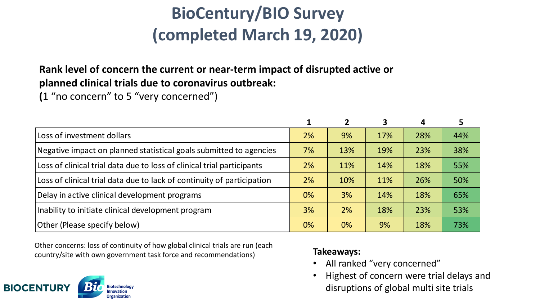### **Rank level of concern the current or near-term impact of disrupted active or planned clinical trials due to coronavirus outbreak:**

**(**1 "no concern" to 5 "very concerned")

|                                                                        |    |       | 3   | 4   |     |
|------------------------------------------------------------------------|----|-------|-----|-----|-----|
| Loss of investment dollars                                             | 2% | 9%    | 17% | 28% | 44% |
| Negative impact on planned statistical goals submitted to agencies     | 7% | 13%   | 19% | 23% | 38% |
| Loss of clinical trial data due to loss of clinical trial participants | 2% | 11%   | 14% | 18% | 55% |
| Loss of clinical trial data due to lack of continuity of participation | 2% | 10%   | 11% | 26% | 50% |
| Delay in active clinical development programs                          | 0% | 3%    | 14% | 18% | 65% |
| Inability to initiate clinical development program                     | 3% | 2%    | 18% | 23% | 53% |
| Other (Please specify below)                                           | 0% | $0\%$ | 9%  | 18% | 73% |

Other concerns: loss of continuity of how global clinical trials are run (each country/site with own government task force and recommendations) **Takeaways:**

- All ranked "very concerned"
- Highest of concern were trial delays and disruptions of global multi site trials

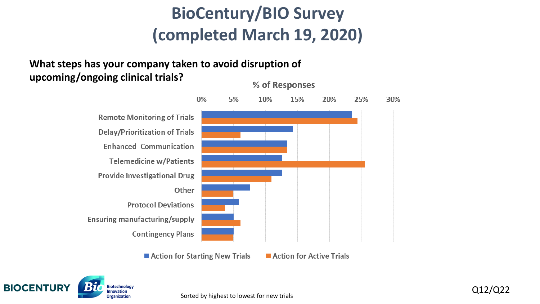#### **What steps has your company taken to avoid disruption of upcoming/ongoing clinical trials?**



■ Action for Starting New Trials

Action for Active Trials

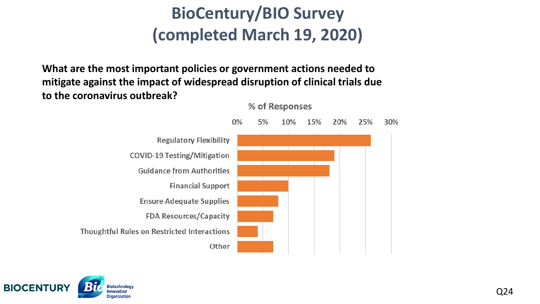**What are the most important policies or government actions needed to mitigate against the impact of widespread disruption of clinical trials due to the coronavirus outbreak?**



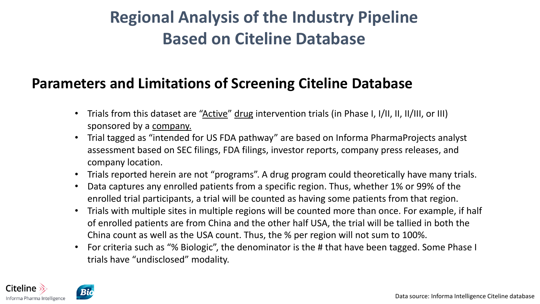### **Regional Analysis of the Industry Pipeline Based on Citeline Database**

### **Parameters and Limitations of Screening Citeline Database**

- Trials from this dataset are "Active" drug intervention trials (in Phase I, I/II, II, II/III, or III) sponsored by a company.
- Trial tagged as "intended for US FDA pathway" are based on Informa PharmaProjects analyst assessment based on SEC filings, FDA filings, investor reports, company press releases, and company location.
- Trials reported herein are not "programs". A drug program could theoretically have many trials.
- Data captures any enrolled patients from a specific region. Thus, whether 1% or 99% of the enrolled trial participants, a trial will be counted as having some patients from that region.
- Trials with multiple sites in multiple regions will be counted more than once. For example, if half of enrolled patients are from China and the other half USA, the trial will be tallied in both the China count as well as the USA count. Thus, the % per region will not sum to 100%.
- For criteria such as "% Biologic", the denominator is the # that have been tagged. Some Phase I trials have "undisclosed" modality.

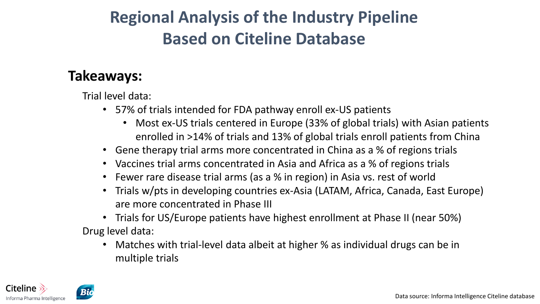### **Regional Analysis of the Industry Pipeline Based on Citeline Database**

### **Takeaways:**

Trial level data:

- 57% of trials intended for FDA pathway enroll ex-US patients
	- Most ex-US trials centered in Europe (33% of global trials) with Asian patients enrolled in >14% of trials and 13% of global trials enroll patients from China
- Gene therapy trial arms more concentrated in China as a % of regions trials
- Vaccines trial arms concentrated in Asia and Africa as a % of regions trials
- Fewer rare disease trial arms (as a % in region) in Asia vs. rest of world
- Trials w/pts in developing countries ex-Asia (LATAM, Africa, Canada, East Europe) are more concentrated in Phase III
- Trials for US/Europe patients have highest enrollment at Phase II (near 50%) Drug level data:
	- Matches with trial-level data albeit at higher % as individual drugs can be in multiple trials

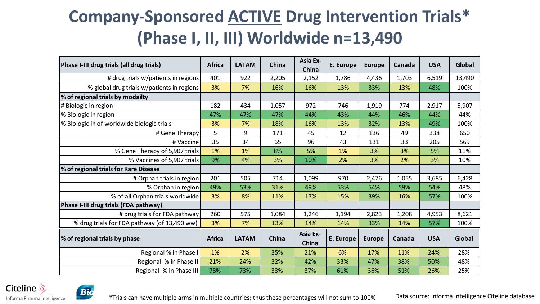### **Company-Sponsored ACTIVE Drug Intervention Trials\* (Phase I, II, III) Worldwide n=13,490**

| Phase I-III drug trials (all drug trials)    | <b>Africa</b> | <b>LATAM</b> | China | <b>Asia Ex-</b><br>China | E. Europe | <b>Europe</b> | Canada | <b>USA</b> | Global |
|----------------------------------------------|---------------|--------------|-------|--------------------------|-----------|---------------|--------|------------|--------|
| # drug trials w/patients in regions          | 401           | 922          | 2,205 | 2,152                    | 1,786     | 4,436         | 1,703  | 6,519      | 13,490 |
| % global drug trials w/patients in regions   | 3%            | 7%           | 16%   | 16%                      | 13%       | 33%           | 13%    | 48%        | 100%   |
| % of regional trials by modailty             |               |              |       |                          |           |               |        |            |        |
| # Biologic in region                         | 182           | 434          | 1,057 | 972                      | 746       | 1,919         | 774    | 2,917      | 5,907  |
| % Biologic in region                         | 47%           | 47%          | 47%   | 44%                      | 43%       | 44%           | 46%    | 44%        | 44%    |
| % Biologic in of worldwide biologic trials   | 3%            | 7%           | 18%   | 16%                      | 13%       | 32%           | 13%    | 49%        | 100%   |
| # Gene Therapy                               | 5             | 9            | 171   | 45                       | 12        | 136           | 49     | 338        | 650    |
| # Vaccine                                    | 35            | 34           | 65    | 96                       | 43        | 131           | 33     | 205        | 569    |
| % Gene Therapy of 5,907 trials               | 1%            | 1%           | 8%    | 5%                       | 1%        | 3%            | 3%     | 5%         | 11%    |
| % Vaccines of 5,907 trials                   | 9%            | 4%           | 3%    | 10%                      | 2%        | 3%            | 2%     | 3%         | 10%    |
| % of regional trials for Rare Disease        |               |              |       |                          |           |               |        |            |        |
| # Orphan trials in region                    | 201           | 505          | 714   | 1,099                    | 970       | 2,476         | 1,055  | 3,685      | 6,428  |
| % Orphan in region                           | 49%           | 53%          | 31%   | 49%                      | 53%       | 54%           | 59%    | 54%        | 48%    |
| % of all Orphan trials worldwide             | 3%            | 8%           | 11%   | 17%                      | 15%       | 39%           | 16%    | 57%        | 100%   |
| Phase I-III drug trials (FDA pathway)        |               |              |       |                          |           |               |        |            |        |
| # drug trials for FDA pathway                | 260           | 575          | 1,084 | 1,246                    | 1,194     | 2,823         | 1,208  | 4,953      | 8,621  |
| % drug trials for FDA pathway (of 13,490 ww) | 3%            | 7%           | 13%   | 14%                      | 14%       | 33%           | 14%    | 57%        | 100%   |
| % of regional trials by phase                | <b>Africa</b> | <b>LATAM</b> | China | Asia Ex-<br>China        | E. Europe | <b>Europe</b> | Canada | <b>USA</b> | Global |
| Regional % in Phase I                        | 1%            | 2%           | 35%   | 21%                      | 6%        | 17%           | 11%    | 24%        | 28%    |
| Regional % in Phase II                       | 21%           | 24%          | 32%   | 42%                      | 33%       | 47%           | 38%    | 50%        | 48%    |
| Regional % in Phase III                      | 78%           | 73%          | 33%   | 37%                      | 61%       | 36%           | 51%    | 26%        | 25%    |